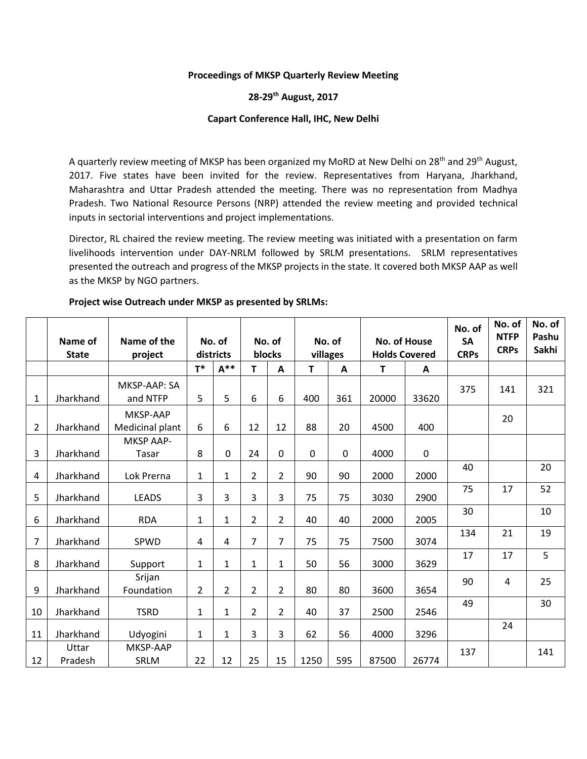### **Proceedings of MKSP Quarterly Review Meeting**

## **28-29th August, 2017**

### **Capart Conference Hall, IHC, New Delhi**

A quarterly review meeting of MKSP has been organized my MoRD at New Delhi on 28<sup>th</sup> and 29<sup>th</sup> August, 2017. Five states have been invited for the review. Representatives from Haryana, Jharkhand, Maharashtra and Uttar Pradesh attended the meeting. There was no representation from Madhya Pradesh. Two National Resource Persons (NRP) attended the review meeting and provided technical inputs in sectorial interventions and project implementations.

Director, RL chaired the review meeting. The review meeting was initiated with a presentation on farm livelihoods intervention under DAY-NRLM followed by SRLM presentations. SRLM representatives presented the outreach and progress of the MKSP projects in the state. It covered both MKSP AAP as well as the MKSP by NGO partners.

|                | Name of<br><b>State</b> | Name of the<br>project          | No. of<br>districts |                | No. of<br>blocks |                | No. of<br>villages |             | <b>No. of House</b><br><b>Holds Covered</b> |             | No. of<br><b>SA</b><br><b>CRPs</b> | No. of<br><b>NTFP</b><br><b>CRPs</b> | No. of<br>Pashu<br><b>Sakhi</b> |
|----------------|-------------------------|---------------------------------|---------------------|----------------|------------------|----------------|--------------------|-------------|---------------------------------------------|-------------|------------------------------------|--------------------------------------|---------------------------------|
|                |                         |                                 | $T^*$               | $A**$          | T.               | A              | T                  | A           | Т                                           | A           |                                    |                                      |                                 |
| 1              | Jharkhand               | <b>MKSP-AAP: SA</b><br>and NTFP | 5                   | 5              | 6                | 6              | 400                | 361         | 20000                                       | 33620       | 375                                | 141                                  | 321                             |
| 2              | Jharkhand               | MKSP-AAP<br>Medicinal plant     | 6                   | 6              | 12               | 12             | 88                 | 20          | 4500                                        | 400         |                                    | 20                                   |                                 |
| 3              | Jharkhand               | <b>MKSP AAP-</b><br>Tasar       | 8                   | $\mathbf 0$    | 24               | $\mathbf{0}$   | 0                  | $\mathbf 0$ | 4000                                        | $\mathbf 0$ |                                    |                                      |                                 |
| 4              | Jharkhand               | Lok Prerna                      | 1                   | $\mathbf{1}$   | $\overline{2}$   | $\overline{2}$ | 90                 | 90          | 2000                                        | 2000        | 40                                 |                                      | 20                              |
| 5              | Jharkhand               | <b>LEADS</b>                    | 3                   | 3              | 3                | 3              | 75                 | 75          | 3030                                        | 2900        | 75                                 | 17                                   | 52                              |
| 6              | Jharkhand               | <b>RDA</b>                      | 1                   | $\mathbf{1}$   | $\overline{2}$   | $\overline{2}$ | 40                 | 40          | 2000                                        | 2005        | 30                                 |                                      | 10                              |
| $\overline{7}$ | Jharkhand               | SPWD                            | 4                   | 4              | $\overline{7}$   | $\overline{7}$ | 75                 | 75          | 7500                                        | 3074        | 134                                | 21                                   | 19                              |
| 8              | Jharkhand               | Support                         | $\mathbf{1}$        | $\mathbf{1}$   | 1                | $\mathbf{1}$   | 50                 | 56          | 3000                                        | 3629        | 17                                 | 17                                   | 5                               |
| 9              | Jharkhand               | Srijan<br>Foundation            | 2                   | $\overline{2}$ | $\overline{2}$   | $\overline{2}$ | 80                 | 80          | 3600                                        | 3654        | 90                                 | 4                                    | 25                              |
| 10             | Jharkhand               | <b>TSRD</b>                     | 1                   | $\mathbf{1}$   | $\overline{2}$   | $\overline{2}$ | 40                 | 37          | 2500                                        | 2546        | 49                                 |                                      | 30                              |
| 11             | Jharkhand               | Udyogini                        | 1                   | $\mathbf{1}$   | 3                | 3              | 62                 | 56          | 4000                                        | 3296        |                                    | 24                                   |                                 |
| 12             | Uttar<br>Pradesh        | MKSP-AAP<br><b>SRLM</b>         | 22                  | 12             | 25               | 15             | 1250               | 595         | 87500                                       | 26774       | 137                                |                                      | 141                             |

#### **Project wise Outreach under MKSP as presented by SRLMs:**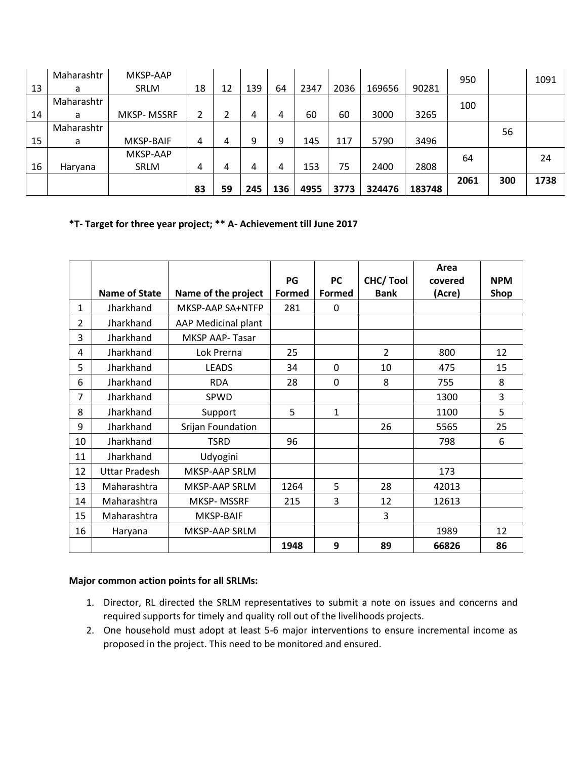|    | Maharashtr | MKSP-AAP    |    |    |     |     |      |      |        |        | 950  |     | 1091 |
|----|------------|-------------|----|----|-----|-----|------|------|--------|--------|------|-----|------|
| 13 | a          | <b>SRLM</b> | 18 | 12 | 139 | 64  | 2347 | 2036 | 169656 | 90281  |      |     |      |
|    | Maharashtr |             |    |    |     |     |      |      |        |        | 100  |     |      |
| 14 | a          | MKSP-MSSRF  | 2  |    | 4   | 4   | 60   | 60   | 3000   | 3265   |      |     |      |
|    | Maharashtr |             |    |    |     |     |      |      |        |        |      | 56  |      |
| 15 | a          | MKSP-BAIF   | 4  | 4  | 9   | 9   | 145  | 117  | 5790   | 3496   |      |     |      |
|    |            | MKSP-AAP    |    |    |     |     |      |      |        |        | 64   |     | 24   |
| 16 | Haryana    | <b>SRLM</b> | 4  | 4  | 4   | 4   | 153  | 75   | 2400   | 2808   |      |     |      |
|    |            |             |    |    |     |     |      |      |        |        | 2061 | 300 | 1738 |
|    |            |             | 83 | 59 | 245 | 136 | 4955 | 3773 | 324476 | 183748 |      |     |      |

# **\*T- Target for three year project; \*\* A- Achievement till June 2017**

|                |                      |                     |               |               |                 | Area    |            |
|----------------|----------------------|---------------------|---------------|---------------|-----------------|---------|------------|
|                |                      |                     | PG            | <b>PC</b>     | <b>CHC/Tool</b> | covered | <b>NPM</b> |
|                | <b>Name of State</b> | Name of the project | <b>Formed</b> | <b>Formed</b> | <b>Bank</b>     | (Acre)  | Shop       |
| $\mathbf{1}$   | Jharkhand            | MKSP-AAP SA+NTFP    | 281           | $\mathbf{0}$  |                 |         |            |
| $\overline{2}$ | Jharkhand            | AAP Medicinal plant |               |               |                 |         |            |
| 3              | Jharkhand            | MKSP AAP-Tasar      |               |               |                 |         |            |
| 4              | Jharkhand            | Lok Prerna          | 25            |               | $\overline{2}$  | 800     | 12         |
| 5              | Jharkhand            | <b>LEADS</b>        | 34            | $\Omega$      | 10              | 475     | 15         |
| 6              | Jharkhand            | <b>RDA</b>          | 28            | $\Omega$      | 8               | 755     | 8          |
| 7              | Jharkhand            | SPWD                |               |               |                 | 1300    | 3          |
| 8              | Jharkhand            | Support             | 5             | 1             |                 | 1100    | 5          |
| 9              | Jharkhand            | Srijan Foundation   |               |               | 26              | 5565    | 25         |
| 10             | Jharkhand            | <b>TSRD</b>         | 96            |               |                 | 798     | 6          |
| 11             | Jharkhand            | Udyogini            |               |               |                 |         |            |
| 12             | <b>Uttar Pradesh</b> | MKSP-AAP SRLM       |               |               |                 | 173     |            |
| 13             | Maharashtra          | MKSP-AAP SRLM       | 1264          | 5             | 28              | 42013   |            |
| 14             | Maharashtra          | MKSP-MSSRF          | 215           | 3             | 12              | 12613   |            |
| 15             | Maharashtra          | MKSP-BAIF           |               |               | 3               |         |            |
| 16             | Haryana              | MKSP-AAP SRLM       |               |               |                 | 1989    | 12         |
|                |                      |                     | 1948          | 9             | 89              | 66826   | 86         |

## **Major common action points for all SRLMs:**

- 1. Director, RL directed the SRLM representatives to submit a note on issues and concerns and required supports for timely and quality roll out of the livelihoods projects.
- 2. One household must adopt at least 5-6 major interventions to ensure incremental income as proposed in the project. This need to be monitored and ensured.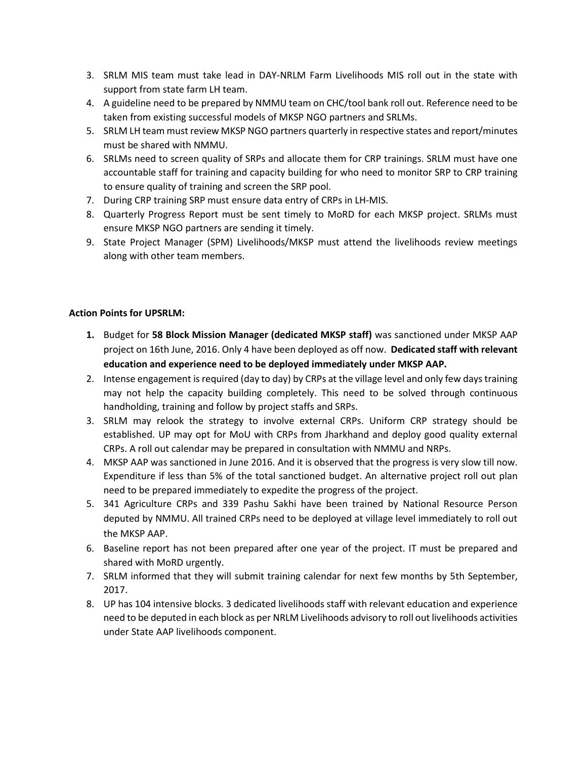- 3. SRLM MIS team must take lead in DAY-NRLM Farm Livelihoods MIS roll out in the state with support from state farm LH team.
- 4. A guideline need to be prepared by NMMU team on CHC/tool bank roll out. Reference need to be taken from existing successful models of MKSP NGO partners and SRLMs.
- 5. SRLM LH team must review MKSP NGO partners quarterly in respective states and report/minutes must be shared with NMMU.
- 6. SRLMs need to screen quality of SRPs and allocate them for CRP trainings. SRLM must have one accountable staff for training and capacity building for who need to monitor SRP to CRP training to ensure quality of training and screen the SRP pool.
- 7. During CRP training SRP must ensure data entry of CRPs in LH-MIS.
- 8. Quarterly Progress Report must be sent timely to MoRD for each MKSP project. SRLMs must ensure MKSP NGO partners are sending it timely.
- 9. State Project Manager (SPM) Livelihoods/MKSP must attend the livelihoods review meetings along with other team members.

## **Action Points for UPSRLM:**

- **1.** Budget for **58 Block Mission Manager (dedicated MKSP staff)** was sanctioned under MKSP AAP project on 16th June, 2016. Only 4 have been deployed as off now. **Dedicated staff with relevant education and experience need to be deployed immediately under MKSP AAP.**
- 2. Intense engagement is required (day to day) by CRPs at the village level and only few days training may not help the capacity building completely. This need to be solved through continuous handholding, training and follow by project staffs and SRPs.
- 3. SRLM may relook the strategy to involve external CRPs. Uniform CRP strategy should be established. UP may opt for MoU with CRPs from Jharkhand and deploy good quality external CRPs. A roll out calendar may be prepared in consultation with NMMU and NRPs.
- 4. MKSP AAP was sanctioned in June 2016. And it is observed that the progress is very slow till now. Expenditure if less than 5% of the total sanctioned budget. An alternative project roll out plan need to be prepared immediately to expedite the progress of the project.
- 5. 341 Agriculture CRPs and 339 Pashu Sakhi have been trained by National Resource Person deputed by NMMU. All trained CRPs need to be deployed at village level immediately to roll out the MKSP AAP.
- 6. Baseline report has not been prepared after one year of the project. IT must be prepared and shared with MoRD urgently.
- 7. SRLM informed that they will submit training calendar for next few months by 5th September, 2017.
- 8. UP has 104 intensive blocks. 3 dedicated livelihoods staff with relevant education and experience need to be deputed in each block as per NRLM Livelihoods advisory to roll out livelihoods activities under State AAP livelihoods component.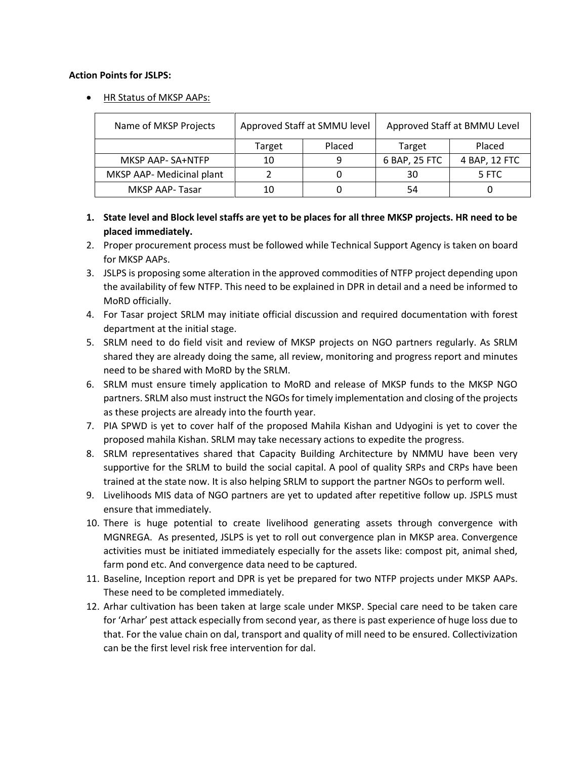### **Action Points for JSLPS:**

HR Status of MKSP AAPs:

| Name of MKSP Projects     |        | Approved Staff at SMMU level | Approved Staff at BMMU Level |               |  |  |
|---------------------------|--------|------------------------------|------------------------------|---------------|--|--|
|                           | Target | Placed                       | Target                       | Placed        |  |  |
| MKSP AAP- SA+NTFP         | 10     | q                            | 6 BAP, 25 FTC                | 4 BAP, 12 FTC |  |  |
| MKSP AAP- Medicinal plant |        |                              | 30                           | 5 FTC         |  |  |
| MKSP AAP-Tasar            | 10     |                              | 54                           |               |  |  |

## **1. State level and Block level staffs are yet to be places for all three MKSP projects. HR need to be placed immediately.**

- 2. Proper procurement process must be followed while Technical Support Agency is taken on board for MKSP AAPs.
- 3. JSLPS is proposing some alteration in the approved commodities of NTFP project depending upon the availability of few NTFP. This need to be explained in DPR in detail and a need be informed to MoRD officially.
- 4. For Tasar project SRLM may initiate official discussion and required documentation with forest department at the initial stage.
- 5. SRLM need to do field visit and review of MKSP projects on NGO partners regularly. As SRLM shared they are already doing the same, all review, monitoring and progress report and minutes need to be shared with MoRD by the SRLM.
- 6. SRLM must ensure timely application to MoRD and release of MKSP funds to the MKSP NGO partners. SRLM also must instruct the NGOs for timely implementation and closing of the projects as these projects are already into the fourth year.
- 7. PIA SPWD is yet to cover half of the proposed Mahila Kishan and Udyogini is yet to cover the proposed mahila Kishan. SRLM may take necessary actions to expedite the progress.
- 8. SRLM representatives shared that Capacity Building Architecture by NMMU have been very supportive for the SRLM to build the social capital. A pool of quality SRPs and CRPs have been trained at the state now. It is also helping SRLM to support the partner NGOs to perform well.
- 9. Livelihoods MIS data of NGO partners are yet to updated after repetitive follow up. JSPLS must ensure that immediately.
- 10. There is huge potential to create livelihood generating assets through convergence with MGNREGA. As presented, JSLPS is yet to roll out convergence plan in MKSP area. Convergence activities must be initiated immediately especially for the assets like: compost pit, animal shed, farm pond etc. And convergence data need to be captured.
- 11. Baseline, Inception report and DPR is yet be prepared for two NTFP projects under MKSP AAPs. These need to be completed immediately.
- 12. Arhar cultivation has been taken at large scale under MKSP. Special care need to be taken care for 'Arhar' pest attack especially from second year, as there is past experience of huge loss due to that. For the value chain on dal, transport and quality of mill need to be ensured. Collectivization can be the first level risk free intervention for dal.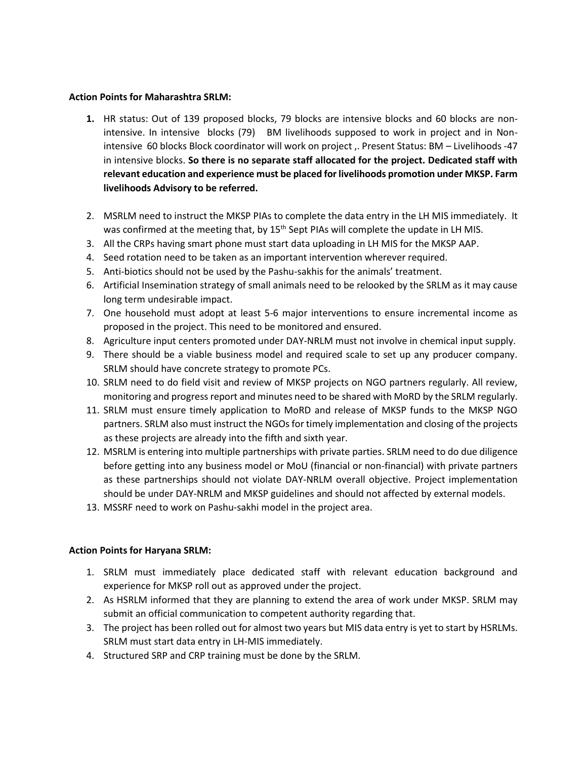## **Action Points for Maharashtra SRLM:**

- **1.** HR status: Out of 139 proposed blocks, 79 blocks are intensive blocks and 60 blocks are nonintensive. In intensive blocks (79) BM livelihoods supposed to work in project and in Nonintensive 60 blocks Block coordinator will work on project ,. Present Status: BM – Livelihoods -47 in intensive blocks. **So there is no separate staff allocated for the project. Dedicated staff with relevant education and experience must be placed for livelihoods promotion under MKSP. Farm livelihoods Advisory to be referred.**
- 2. MSRLM need to instruct the MKSP PIAs to complete the data entry in the LH MIS immediately. It was confirmed at the meeting that, by 15<sup>th</sup> Sept PIAs will complete the update in LH MIS.
- 3. All the CRPs having smart phone must start data uploading in LH MIS for the MKSP AAP.
- 4. Seed rotation need to be taken as an important intervention wherever required.
- 5. Anti-biotics should not be used by the Pashu-sakhis for the animals' treatment.
- 6. Artificial Insemination strategy of small animals need to be relooked by the SRLM as it may cause long term undesirable impact.
- 7. One household must adopt at least 5-6 major interventions to ensure incremental income as proposed in the project. This need to be monitored and ensured.
- 8. Agriculture input centers promoted under DAY-NRLM must not involve in chemical input supply.
- 9. There should be a viable business model and required scale to set up any producer company. SRLM should have concrete strategy to promote PCs.
- 10. SRLM need to do field visit and review of MKSP projects on NGO partners regularly. All review, monitoring and progress report and minutes need to be shared with MoRD by the SRLM regularly.
- 11. SRLM must ensure timely application to MoRD and release of MKSP funds to the MKSP NGO partners. SRLM also must instruct the NGOs for timely implementation and closing of the projects as these projects are already into the fifth and sixth year.
- 12. MSRLM is entering into multiple partnerships with private parties. SRLM need to do due diligence before getting into any business model or MoU (financial or non-financial) with private partners as these partnerships should not violate DAY-NRLM overall objective. Project implementation should be under DAY-NRLM and MKSP guidelines and should not affected by external models.
- 13. MSSRF need to work on Pashu-sakhi model in the project area.

## **Action Points for Haryana SRLM:**

- 1. SRLM must immediately place dedicated staff with relevant education background and experience for MKSP roll out as approved under the project.
- 2. As HSRLM informed that they are planning to extend the area of work under MKSP. SRLM may submit an official communication to competent authority regarding that.
- 3. The project has been rolled out for almost two years but MIS data entry is yet to start by HSRLMs. SRLM must start data entry in LH-MIS immediately.
- 4. Structured SRP and CRP training must be done by the SRLM.